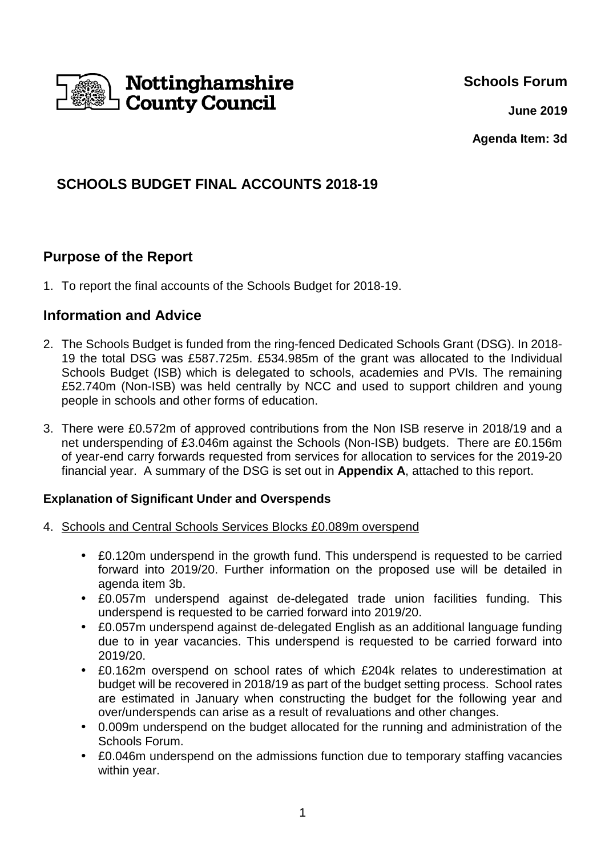

**Schools Forum**

**June 2019**

**Agenda Item: 3d**

# **SCHOOLS BUDGET FINAL ACCOUNTS 2018-19**

# **Purpose of the Report**

1. To report the final accounts of the Schools Budget for 2018-19.

## **Information and Advice**

- 2. The Schools Budget is funded from the ring-fenced Dedicated Schools Grant (DSG). In 2018- 19 the total DSG was £587.725m. £534.985m of the grant was allocated to the Individual Schools Budget (ISB) which is delegated to schools, academies and PVIs. The remaining £52.740m (Non-ISB) was held centrally by NCC and used to support children and young people in schools and other forms of education.
- 3. There were £0.572m of approved contributions from the Non ISB reserve in 2018/19 and a net underspending of £3.046m against the Schools (Non-ISB) budgets. There are £0.156m of year-end carry forwards requested from services for allocation to services for the 2019-20 financial year. A summary of the DSG is set out in **Appendix A**, attached to this report.

### **Explanation of Significant Under and Overspends**

- 4. Schools and Central Schools Services Blocks £0.089m overspend
	- £0.120m underspend in the growth fund. This underspend is requested to be carried forward into 2019/20. Further information on the proposed use will be detailed in agenda item 3b.
	- £0.057m underspend against de-delegated trade union facilities funding. This underspend is requested to be carried forward into 2019/20.
	- £0.057m underspend against de-delegated English as an additional language funding due to in year vacancies. This underspend is requested to be carried forward into 2019/20.
	- £0.162m overspend on school rates of which £204k relates to underestimation at budget will be recovered in 2018/19 as part of the budget setting process. School rates are estimated in January when constructing the budget for the following year and over/underspends can arise as a result of revaluations and other changes.
	- 0.009m underspend on the budget allocated for the running and administration of the Schools Forum.
	- £0.046m underspend on the admissions function due to temporary staffing vacancies within year.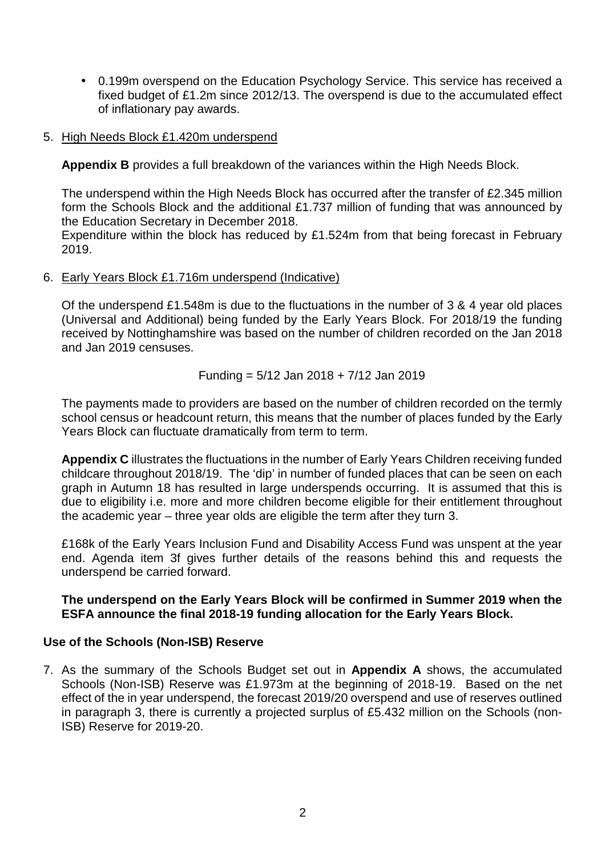- 0.199m overspend on the Education Psychology Service. This service has received a fixed budget of £1.2m since 2012/13. The overspend is due to the accumulated effect of inflationary pay awards.
- 5. High Needs Block £1.420m underspend

**Appendix B** provides a full breakdown of the variances within the High Needs Block.

The underspend within the High Needs Block has occurred after the transfer of £2.345 million form the Schools Block and the additional £1.737 million of funding that was announced by the Education Secretary in December 2018.

Expenditure within the block has reduced by £1.524m from that being forecast in February 2019.

#### 6. Early Years Block £1.716m underspend (Indicative)

Of the underspend £1.548m is due to the fluctuations in the number of 3 & 4 year old places (Universal and Additional) being funded by the Early Years Block. For 2018/19 the funding received by Nottinghamshire was based on the number of children recorded on the Jan 2018 and Jan 2019 censuses.

Funding = 
$$
5/12
$$
 Jan 2018 +  $7/12$  Jan 2019

The payments made to providers are based on the number of children recorded on the termly school census or headcount return, this means that the number of places funded by the Early Years Block can fluctuate dramatically from term to term.

**Appendix C** illustrates the fluctuations in the number of Early Years Children receiving funded childcare throughout 2018/19. The 'dip' in number of funded places that can be seen on each graph in Autumn 18 has resulted in large underspends occurring. It is assumed that this is due to eligibility i.e. more and more children become eligible for their entitlement throughout the academic year – three year olds are eligible the term after they turn 3.

£168k of the Early Years Inclusion Fund and Disability Access Fund was unspent at the year end. Agenda item 3f gives further details of the reasons behind this and requests the underspend be carried forward.

#### **The underspend on the Early Years Block will be confirmed in Summer 2019 when the ESFA announce the final 2018-19 funding allocation for the Early Years Block.**

#### **Use of the Schools (Non-ISB) Reserve**

7. As the summary of the Schools Budget set out in **Appendix A** shows, the accumulated Schools (Non-ISB) Reserve was £1.973m at the beginning of 2018-19. Based on the net effect of the in year underspend, the forecast 2019/20 overspend and use of reserves outlined in paragraph 3, there is currently a projected surplus of £5.432 million on the Schools (non-ISB) Reserve for 2019-20.